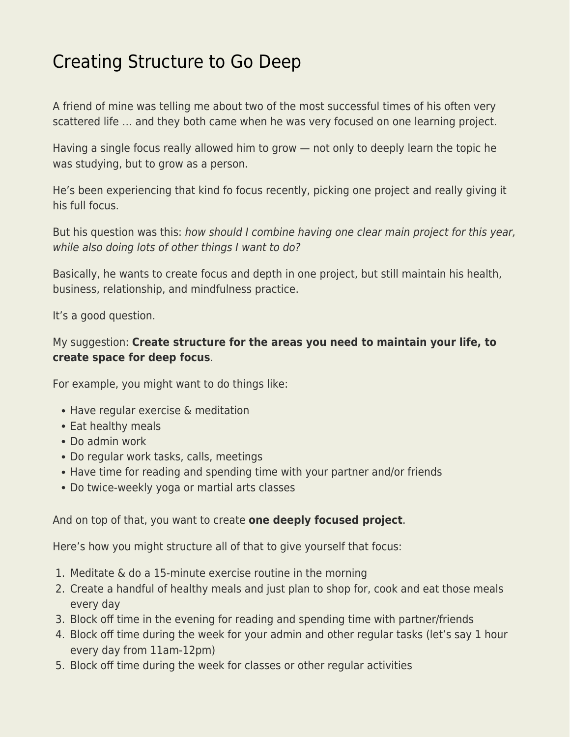## [Creating Structure to Go Deep](https://everything-voluntary.com/creating-structure-to-go-deep)

A friend of mine was telling me about two of the most successful times of his often very scattered life … and they both came when he was very focused on one learning project.

Having a single focus really allowed him to grow — not only to deeply learn the topic he was studying, but to grow as a person.

He's been experiencing that kind fo focus recently, picking one project and really giving it his full focus.

But his question was this: how should I combine having one clear main project for this year, while also doing lots of other things I want to do?

Basically, he wants to create focus and depth in one project, but still maintain his health, business, relationship, and mindfulness practice.

It's a good question.

## My suggestion: **Create structure for the areas you need to maintain your life, to create space for deep focus**.

For example, you might want to do things like:

- Have regular exercise & meditation
- Eat healthy meals
- Do admin work
- Do regular work tasks, calls, meetings
- Have time for reading and spending time with your partner and/or friends
- Do twice-weekly yoga or martial arts classes

## And on top of that, you want to create **one deeply focused project**.

Here's how you might structure all of that to give yourself that focus:

- 1. Meditate & do a 15-minute exercise routine in the morning
- 2. Create a handful of healthy meals and just plan to shop for, cook and eat those meals every day
- 3. Block off time in the evening for reading and spending time with partner/friends
- 4. Block off time during the week for your admin and other regular tasks (let's say 1 hour every day from 11am-12pm)
- 5. Block off time during the week for classes or other regular activities